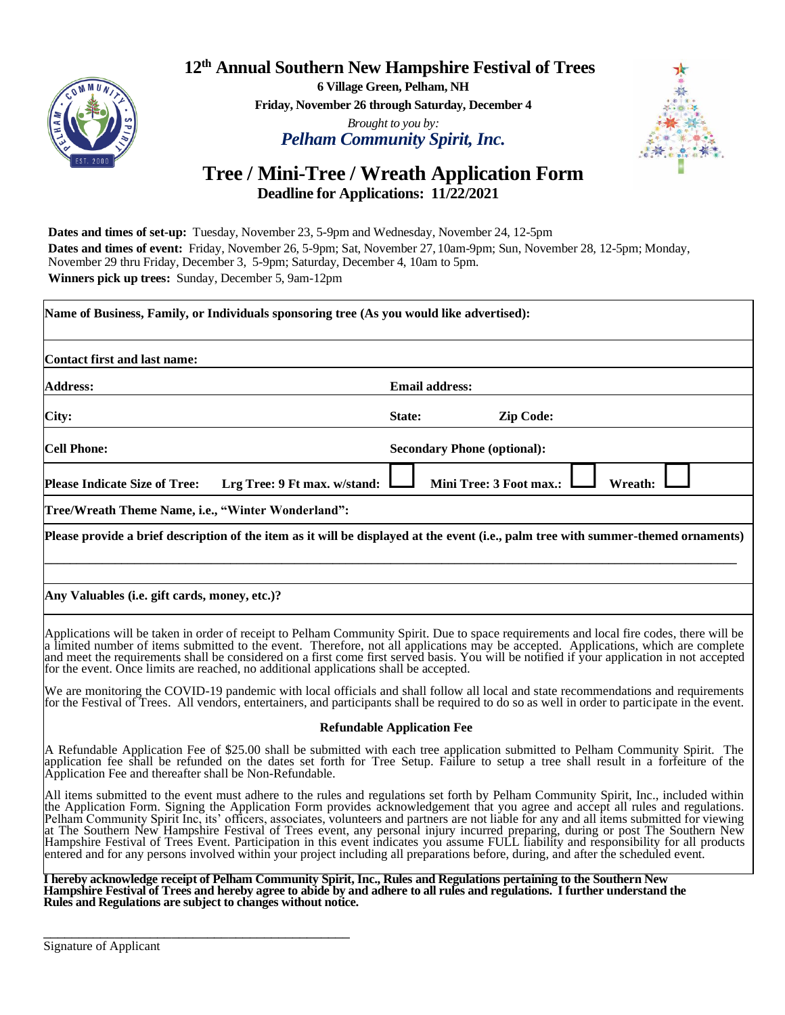

## **12 th Annual Southern New Hampshire Festival of Trees**

**6 Village Green, Pelham, NH Friday, November 26 through Saturday, December 4** *Brought to you by: Pelham Community Spirit, Inc.*



## **Tree / Mini-Tree / Wreath Application Form Deadline for Applications: 11/22/2021**

**Dates and times of set-up:** Tuesday, November 23, 5-9pm and Wednesday, November 24, 12-5pm **Dates and times of event:** Friday, November 26, 5-9pm; Sat, November 27,10am-9pm; Sun, November 28, 12-5pm; Monday, November 29 thru Friday, December 3, 5-9pm; Saturday, December 4, 10am to 5pm. **Winners pick up trees:** Sunday, December 5, 9am-12pm

| Contact first and last name:                                         |                                                                                                                                    |
|----------------------------------------------------------------------|------------------------------------------------------------------------------------------------------------------------------------|
| <b>Address:</b>                                                      | <b>Email address:</b>                                                                                                              |
| City:                                                                | <b>Zip Code:</b><br>State:                                                                                                         |
| <b>Cell Phone:</b>                                                   | <b>Secondary Phone (optional):</b>                                                                                                 |
| <b>Please Indicate Size of Tree:</b><br>Lrg Tree: 9 Ft max. w/stand: | Mini Tree: 3 Foot max.:<br>Wreath:                                                                                                 |
| Tree/Wreath Theme Name, i.e., "Winter Wonderland":                   |                                                                                                                                    |
|                                                                      | Please provide a brief description of the item as it will be displayed at the event (i.e., palm tree with summer-themed ornaments) |
|                                                                      |                                                                                                                                    |
| Any Valuables (i.e. gift cards, money, etc.)?                        |                                                                                                                                    |

Applications will be taken in order of receipt to Pelham Community Spirit. Due to space requirements and local fire codes, there will be a limited number of items submitted to the event. Therefore, not all applications may be accepted. Applications, which are complete and meet the requirements shall be considered on a first come first served basis. You will be notified if your application in not accepted for the event. Once limits are reached, no additional applications shall be accepted.

We are monitoring the COVID-19 pandemic with local officials and shall follow all local and state recommendations and requirements for the Festival of Trees. All vendors, entertainers, and participants shall be required to do so as well in order to participate in the event.

## **Refundable Application Fee**

A Refundable Application Fee of \$25.00 shall be submitted with each tree application submitted to Pelham Community Spirit. The application fee shall be refunded on the dates set forth for Tree Setup. Failure to setup a tree shall result in a forfeiture of the Application Fee and thereafter shall be Non-Refundable.

All items submitted to the event must adhere to the rules and regulations set forth by Pelham Community Spirit, Inc., included within the Application Form. Signing the Application Form provides acknowledgement that you agree and accept all rules and regulations. Pelham Community Spirit Inc, its' officers, associates, volunteers and partners are not liable for any and all items submitted for viewing at The Southern New Hampshire Festival of Trees event, any personal injury incurred preparing, during or post The Southern New Hampshire Festival of Trees Event. Participation in this event indicates you assume FULL liability and responsibility for all products entered and for any persons involved within your project including all preparations before, during, and after the scheduled event.

**I hereby acknowledge receipt of Pelham Community Spirit, Inc., Rules and Regulations pertaining to the Southern New Hampshire Festival of Trees and hereby agree to abide by and adhere to all rules and regulations. I further understand the Rules and Regulations are subject to changes without notice.** 

\_\_\_\_\_\_\_\_\_\_\_\_\_\_\_\_\_\_\_\_\_\_\_\_\_\_\_\_\_\_\_\_\_\_\_\_\_\_\_\_\_\_\_